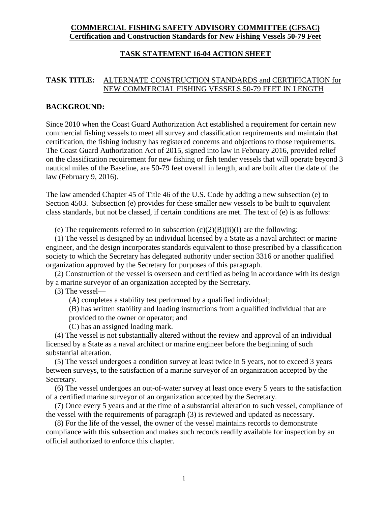## **COMMERCIAL FISHING SAFETY ADVISORY COMMITTEE (CFSAC) Certification and Construction Standards for New Fishing Vessels 50-79 Feet**

## **TASK STATEMENT 16-04 ACTION SHEET**

## **TASK TITLE:** ALTERNATE CONSTRUCTION STANDARDS and CERTIFICATION for NEW COMMERCIAL FISHING VESSELS 50-79 FEET IN LENGTH

### **BACKGROUND:**

Since 2010 when the Coast Guard Authorization Act established a requirement for certain new commercial fishing vessels to meet all survey and classification requirements and maintain that certification, the fishing industry has registered concerns and objections to those requirements. The Coast Guard Authorization Act of 2015, signed into law in February 2016, provided relief on the classification requirement for new fishing or fish tender vessels that will operate beyond 3 nautical miles of the Baseline, are 50-79 feet overall in length, and are built after the date of the law (February 9, 2016).

The law amended Chapter 45 of Title 46 of the U.S. Code by adding a new subsection (e) to Section 4503. Subsection (e) provides for these smaller new vessels to be built to equivalent class standards, but not be classed, if certain conditions are met. The text of (e) is as follows:

(e) The requirements referred to in subsection  $(c)(2)(B)(ii)(I)$  are the following:

(1) The vessel is designed by an individual licensed by a State as a naval architect or marine engineer, and the design incorporates standards equivalent to those prescribed by a classification society to which the Secretary has delegated authority under section 3316 or another qualified organization approved by the Secretary for purposes of this paragraph.

(2) Construction of the vessel is overseen and certified as being in accordance with its design by a marine surveyor of an organization accepted by the Secretary.

(3) The vessel—

(A) completes a stability test performed by a qualified individual;

(B) has written stability and loading instructions from a qualified individual that are provided to the owner or operator; and

(C) has an assigned loading mark.

(4) The vessel is not substantially altered without the review and approval of an individual licensed by a State as a naval architect or marine engineer before the beginning of such substantial alteration.

(5) The vessel undergoes a condition survey at least twice in 5 years, not to exceed 3 years between surveys, to the satisfaction of a marine surveyor of an organization accepted by the Secretary.

(6) The vessel undergoes an out-of-water survey at least once every 5 years to the satisfaction of a certified marine surveyor of an organization accepted by the Secretary.

(7) Once every 5 years and at the time of a substantial alteration to such vessel, compliance of the vessel with the requirements of paragraph (3) is reviewed and updated as necessary.

(8) For the life of the vessel, the owner of the vessel maintains records to demonstrate compliance with this subsection and makes such records readily available for inspection by an official authorized to enforce this chapter.